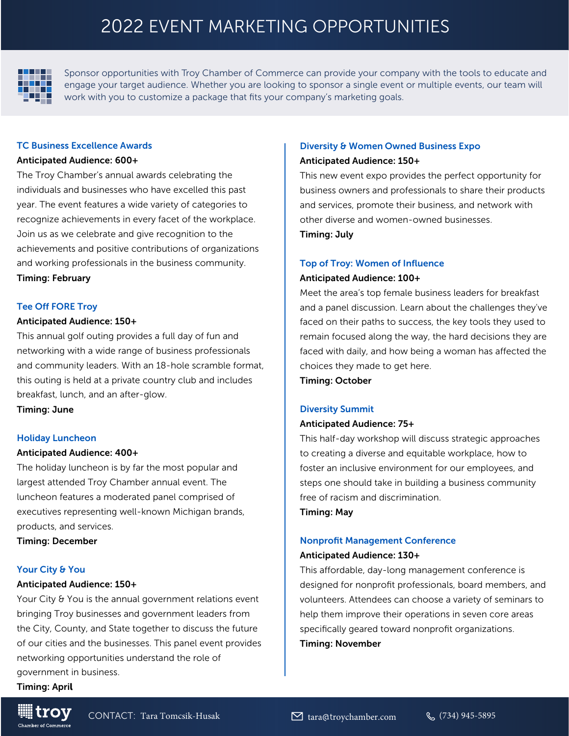# 2022 EVENT MARKETING OPPORTUNITIES



Sponsor opportunities with Troy Chamber of Commerce can provide your company with the tools to educate and engage your target audience. Whether you are looking to sponsor a single event or multiple events, our team will work with you to customize a package that fits your company's marketing goals.

#### TC Business Excellence Awards

#### Anticipated Audience: 600+

The Troy Chamber's annual awards celebrating the individuals and businesses who have excelled this past year. The event features a wide variety of categories to recognize achievements in every facet of the workplace. Join us as we celebrate and give recognition to the achievements and positive contributions of organizations and working professionals in the business community. Timing: February

# Tee Off FORE Troy

# Anticipated Audience: 150+

This annual golf outing provides a full day of fun and networking with a wide range of business professionals and community leaders. With an 18-hole scramble format, this outing is held at a private country club and includes breakfast, lunch, and an after-glow.

Timing: June

# Holiday Luncheon

#### Anticipated Audience: 400+

The holiday luncheon is by far the most popular and largest attended Troy Chamber annual event. The luncheon features a moderated panel comprised of executives representing well-known Michigan brands, products, and services.

Timing: December

# Your City & You

#### Anticipated Audience: 150+

Your City & You is the annual government relations event bringing Troy businesses and government leaders from the City, County, and State together to discuss the future of our cities and the businesses. This panel event provides networking opportunities understand the role of government in business.

Timing: April

# Diversity & Women Owned Business Expo

#### Anticipated Audience: 150+

This new event expo provides the perfect opportunity for business owners and professionals to share their products and services, promote their business, and network with other diverse and women-owned businesses. Timing: July

#### Top of Troy: Women of Influence

#### Anticipated Audience: 100+

Meet the area's top female business leaders for breakfast and a panel discussion. Learn about the challenges they've faced on their paths to success, the key tools they used to remain focused along the way, the hard decisions they are faced with daily, and how being a woman has affected the choices they made to get here.

Timing: October

#### Diversity Summit

#### Anticipated Audience: 75+

This half-day workshop will discuss strategic approaches to creating a diverse and equitable workplace, how to foster an inclusive environment for our employees, and steps one should take in building a business community free of racism and discrimination.

Timing: May

# Nonprofit Management Conference

# Anticipated Audience: 130+

This affordable, day-long management conference is designed for nonprofit professionals, board members, and volunteers. Attendees can choose a variety of seminars to help them improve their operations in seven core areas specifically geared toward nonprofit organizations. Timing: November